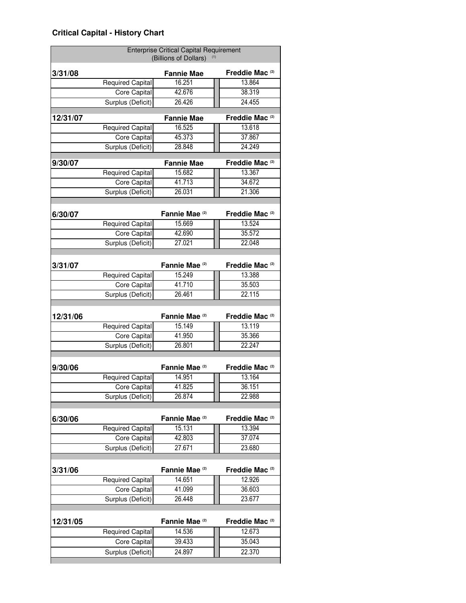|          | <b>Enterprise Critical Capital Requirement</b><br>(Billions of Dollars) |                           |                            |
|----------|-------------------------------------------------------------------------|---------------------------|----------------------------|
| 3/31/08  |                                                                         | <b>Fannie Mae</b>         | Freddie Mac <sup>(2)</sup> |
|          | <b>Required Capital</b>                                                 | 16.251                    | 13.864                     |
|          | <b>Core Capital</b>                                                     | 42.676                    | 38.319                     |
|          | Surplus (Deficit)                                                       | 26.426                    | 24.455                     |
| 12/31/07 |                                                                         | <b>Fannie Mae</b>         | Freddie Mac <sup>(2)</sup> |
|          | <b>Required Capital</b>                                                 | 16.525                    | 13.618                     |
|          | Core Capital                                                            | 45.373                    | 37.867                     |
|          | Surplus (Deficit)                                                       | 28.848                    | 24.249                     |
| 9/30/07  |                                                                         | <b>Fannie Mae</b>         | Freddie Mac <sup>(2)</sup> |
|          | <b>Required Capital</b>                                                 | 15.682                    | 13.367                     |
|          | Core Capital                                                            | 41.713                    | 34.672                     |
|          | Surplus (Deficit)                                                       | 26.031                    | 21.306                     |
|          |                                                                         |                           |                            |
| 6/30/07  |                                                                         | Fannie Mae <sup>(2)</sup> | Freddie Mac <sup>(2)</sup> |
|          | Required Capital                                                        | 15.669                    | 13.524                     |
|          | Core Capital                                                            | 42.690                    | 35.572                     |
|          | Surplus (Deficit)                                                       | 27.021                    | 22.048                     |
|          |                                                                         |                           |                            |
| 3/31/07  |                                                                         | Fannie Mae <sup>(2)</sup> | Freddie Mac <sup>(2)</sup> |
|          | <b>Required Capital</b>                                                 | 15.249                    | 13.388                     |
|          | <b>Core Capital</b>                                                     | 41.710                    | 35.503                     |
|          | Surplus (Deficit)                                                       | 26.461                    | 22.115                     |
|          |                                                                         | Fannie Mae <sup>(2)</sup> | Freddie Mac <sup>(2)</sup> |
| 12/31/06 | <b>Required Capital</b>                                                 | 15.149                    | 13.119                     |
|          | <b>Core Capital</b>                                                     | 41.950                    | 35.366                     |
|          | Surplus (Deficit)                                                       | 26.801                    | 22.247                     |
|          |                                                                         |                           |                            |
| 9/30/06  |                                                                         | Fannie Mae <sup>(2)</sup> | Freddie Mac <sup>(2)</sup> |
|          | <b>Required Capital</b>                                                 | 14.951                    | 13.164                     |
|          | Core Capital                                                            | 41.825                    | 36.151                     |
|          | Surplus (Deficit)                                                       | 26.874                    | 22.988                     |
|          |                                                                         |                           |                            |
| 6/30/06  |                                                                         | Fannie Mae <sup>(2)</sup> | Freddie Mac <sup>(2)</sup> |
|          | <b>Required Capital</b>                                                 | 15.131                    | 13.394                     |
|          | Core Capital                                                            | 42.803                    | 37.074                     |
|          | Surplus (Deficit)                                                       | 27.671                    | 23.680                     |
|          |                                                                         |                           |                            |
| 3/31/06  |                                                                         | Fannie Mae <sup>(2)</sup> | Freddie Mac <sup>(2)</sup> |
|          |                                                                         |                           |                            |
|          | Required Capital                                                        | 14.651                    | 12.926                     |
|          | Core Capital<br>Surplus (Deficit)                                       | 41.099<br>26.448          | 36.603<br>23.677           |
|          |                                                                         |                           |                            |
| 12/31/05 |                                                                         | Fannie Mae <sup>(2)</sup> | Freddie Mac <sup>(2)</sup> |
|          | <b>Required Capital</b>                                                 | 14.536                    | 12.673                     |
|          | Core Capital<br>Surplus (Deficit)                                       | 39.433<br>24.897          | 35.043<br>22.370           |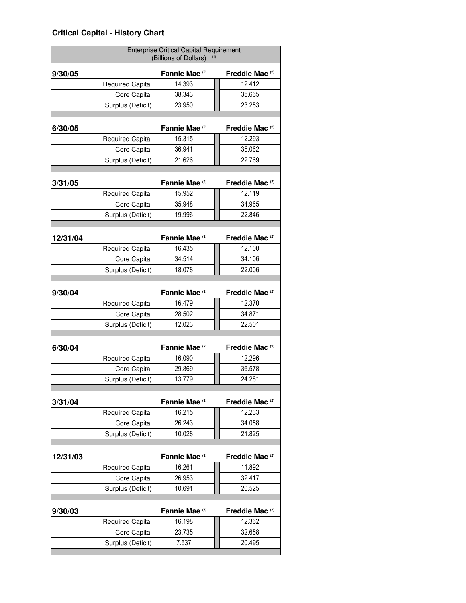## **Critical Capital - History Chart**

|          | <b>Enterprise Critical Capital Requirement</b><br>(Billions of Dollars) |                           |                            |
|----------|-------------------------------------------------------------------------|---------------------------|----------------------------|
| 9/30/05  |                                                                         | Fannie Mae <sup>(2)</sup> | Freddie Mac <sup>(2)</sup> |
|          | <b>Required Capital</b>                                                 | 14.393                    | 12.412                     |
|          | Core Capital                                                            | 38.343                    | 35.665                     |
|          | Surplus (Deficit)                                                       | 23.950                    | 23.253                     |
| 6/30/05  |                                                                         | Fannie Mae <sup>(2)</sup> | Freddie Mac <sup>(2)</sup> |
|          | <b>Required Capital</b>                                                 | 15.315                    | 12.293                     |
|          | Core Capital                                                            | 36.941                    | 35.062                     |
|          | Surplus (Deficit)                                                       | 21.626                    | 22.769                     |
| 3/31/05  |                                                                         | Fannie Mae <sup>(2)</sup> | Freddie Mac <sup>(2)</sup> |
|          | <b>Required Capital</b>                                                 | 15.952                    | 12.119                     |
|          | Core Capital                                                            | 35.948                    | 34.965                     |
|          | Surplus (Deficit)                                                       | 19.996                    | 22.846                     |
| 12/31/04 |                                                                         | Fannie Mae <sup>(2)</sup> | Freddie Mac <sup>(2)</sup> |
|          | <b>Required Capital</b>                                                 | 16.435                    | 12.100                     |
|          | Core Capital                                                            | 34.514                    | 34.106                     |
|          | Surplus (Deficit)                                                       | 18.078                    | 22.006                     |
| 9/30/04  |                                                                         | Fannie Mae <sup>(2)</sup> | Freddie Mac <sup>(2)</sup> |
|          | <b>Required Capital</b>                                                 | 16.479                    | 12.370                     |
|          | Core Capital                                                            | 28.502                    | 34.871                     |
|          | Surplus (Deficit)                                                       | 12.023                    | 22.501                     |
|          |                                                                         |                           |                            |
| 6/30/04  |                                                                         | Fannie Mae <sup>(2)</sup> | Freddie Mac <sup>(2)</sup> |
|          | <b>Required Capital</b>                                                 | 16.090                    | 12.296                     |
|          | Core Capital                                                            | 29.869                    | 36.578                     |
|          | Surplus (Deficit)                                                       | 13.779                    | 24.281                     |
| 3/31/04  |                                                                         | Fannie Mae <sup>(2)</sup> | Freddie Mac <sup>(2)</sup> |
|          | <b>Required Capital</b>                                                 | 16.215                    | 12.233                     |
|          | Core Capital                                                            | 26.243                    | 34.058                     |
|          | Surplus (Deficit)                                                       | 10.028                    | 21.825                     |
| 12/31/03 |                                                                         | Fannie Mae <sup>(2)</sup> | Freddie Mac <sup>(2)</sup> |
|          | <b>Required Capital</b>                                                 | 16.261                    | 11.892                     |
|          | Core Capital                                                            | 26.953                    | 32.417                     |
|          | Surplus (Deficit)                                                       | 10.691                    | 20.525                     |
| 9/30/03  |                                                                         | Fannie Mae <sup>(3)</sup> | Freddie Mac <sup>(2)</sup> |
|          |                                                                         |                           | 12.362                     |
|          |                                                                         |                           |                            |
|          | <b>Required Capital</b><br>Core Capital                                 | 16.198<br>23.735          | 32.658                     |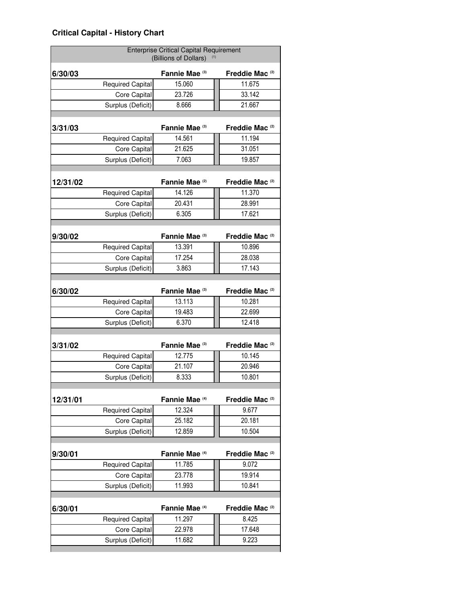## **Critical Capital - History Chart**

|          | <b>Enterprise Critical Capital Requirement</b><br>(Billions of Dollars) |                           |                            |
|----------|-------------------------------------------------------------------------|---------------------------|----------------------------|
| 6/30/03  |                                                                         | Fannie Mae (3)            | Freddie Mac <sup>(2)</sup> |
|          | <b>Required Capital</b>                                                 | 15.060                    | 11.675                     |
|          | Core Capital                                                            | 23.726                    | 33.142                     |
|          | Surplus (Deficit)                                                       | 8.666                     | 21.667                     |
| 3/31/03  |                                                                         | Fannie Mae <sup>(3)</sup> | Freddie Mac <sup>(2)</sup> |
|          | <b>Required Capital</b>                                                 | 14.561                    | 11.194                     |
|          | Core Capital                                                            | 21.625                    | 31.051                     |
|          | Surplus (Deficit)                                                       | 7.063                     | 19.857                     |
| 12/31/02 |                                                                         | Fannie Mae <sup>(2)</sup> | Freddie Mac <sup>(2)</sup> |
|          | <b>Required Capital</b>                                                 | 14.126                    | 11.370                     |
|          | Core Capital                                                            | 20.431                    | 28.991                     |
|          | Surplus (Deficit)                                                       | 6.305                     | 17.621                     |
| 9/30/02  |                                                                         | Fannie Mae <sup>(3)</sup> | Freddie Mac <sup>(2)</sup> |
|          | <b>Required Capital</b>                                                 | 13.391                    | 10.896                     |
|          | Core Capital                                                            | 17.254                    | 28.038                     |
|          | Surplus (Deficit)                                                       | 3.863                     | 17.143                     |
| 6/30/02  |                                                                         | Fannie Mae (3)            | Freddie Mac <sup>(2)</sup> |
|          | <b>Required Capital</b>                                                 | 13.113                    | 10.281                     |
|          | Core Capital                                                            | 19.483                    | 22.699                     |
|          | Surplus (Deficit)                                                       | 6.370                     | 12.418                     |
| 3/31/02  |                                                                         | Fannie Mae (3)            | Freddie Mac <sup>(2)</sup> |
|          | <b>Required Capital</b>                                                 | 12.775                    | 10.145                     |
|          | Core Capital                                                            | 21.107                    | 20.946                     |
|          | Surplus (Deficit)                                                       | 8.333                     | 10.801                     |
| 12/31/01 |                                                                         | Fannie Mae <sup>(4)</sup> | Freddie Mac <sup>(2)</sup> |
|          | <b>Required Capital</b>                                                 | 12.324                    | 9.677                      |
|          | Core Capital                                                            | 25.182                    | 20.181                     |
|          | Surplus (Deficit)                                                       | 12.859                    | 10.504                     |
| 9/30/01  |                                                                         | Fannie Mae <sup>(4)</sup> | Freddie Mac <sup>(2)</sup> |
|          | <b>Required Capital</b>                                                 | 11.785                    | 9.072                      |
|          | Core Capital                                                            | 23.778                    | 19.914                     |
|          | Surplus (Deficit)                                                       | 11.993                    | 10.841                     |
| 6/30/01  |                                                                         | Fannie Mae <sup>(4)</sup> | Freddie Mac <sup>(2)</sup> |
|          | <b>Required Capital</b>                                                 | 11.297                    | 8.425                      |
|          |                                                                         |                           |                            |
|          | Core Capital                                                            | 22.978                    | 17.648                     |